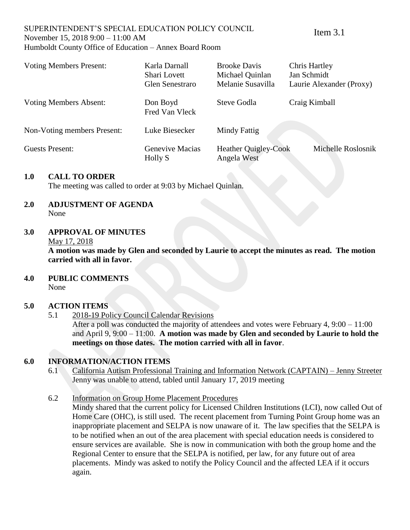#### SUPERINTENDENT'S SPECIAL EDUCATION POLICY COUNCIL November 15, 2018 9:00 – 11:00 AM Humboldt County Office of Education – Annex Board Room

Item 3.1

| <b>Voting Members Present:</b> | Karla Darnall<br>Shari Lovett<br>Glen Senestraro | <b>Brooke Davis</b><br>Michael Quinlan<br>Melanie Susavilla | <b>Chris Hartley</b><br>Jan Schmidt<br>Laurie Alexander (Proxy) |
|--------------------------------|--------------------------------------------------|-------------------------------------------------------------|-----------------------------------------------------------------|
| <b>Voting Members Absent:</b>  | Don Boyd<br>Fred Van Vleck                       | Steve Godla                                                 | Craig Kimball                                                   |
| Non-Voting members Present:    | Luke Biesecker                                   | Mindy Fattig                                                |                                                                 |
| Guests Present:                | Genevive Macias<br>Holly S                       | <b>Heather Quigley-Cook</b><br>Angela West                  | Michelle Roslosnik                                              |

# **1.0 CALL TO ORDER**

The meeting was called to order at 9:03 by Michael Quinlan.

# **2.0 ADJUSTMENT OF AGENDA** None

# **3.0 APPROVAL OF MINUTES**

#### May 17, 2018

**A motion was made by Glen and seconded by Laurie to accept the minutes as read. The motion carried with all in favor.**

#### **4.0 PUBLIC COMMENTS** None

#### **5.0 ACTION ITEMS**

5.1 2018-19 Policy Council Calendar Revisions

After a poll was conducted the majority of attendees and votes were February 4, 9:00 – 11:00 and April 9, 9:00 – 11:00. **A motion was made by Glen and seconded by Laurie to hold the meetings on those dates. The motion carried with all in favor**.

# **6.0 INFORMATION/ACTION ITEMS**

- 6.1 California Autism Professional Training and Information Network (CAPTAIN) Jenny Streeter Jenny was unable to attend, tabled until January 17, 2019 meeting
- 6.2 Information on Group Home Placement Procedures

Mindy shared that the current policy for Licensed Children Institutions (LCI), now called Out of Home Care (OHC), is still used. The recent placement from Turning Point Group home was an inappropriate placement and SELPA is now unaware of it. The law specifies that the SELPA is to be notified when an out of the area placement with special education needs is considered to ensure services are available. She is now in communication with both the group home and the Regional Center to ensure that the SELPA is notified, per law, for any future out of area placements. Mindy was asked to notify the Policy Council and the affected LEA if it occurs again.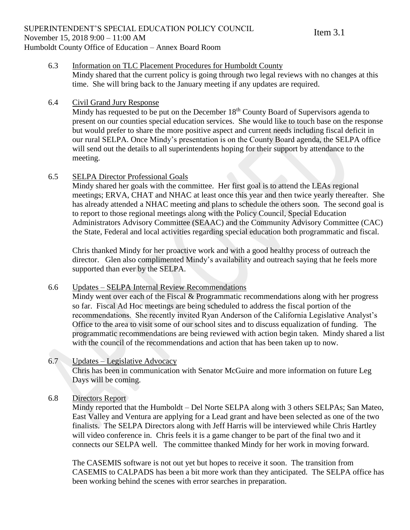#### 6.3 Information on TLC Placement Procedures for Humboldt County

Mindy shared that the current policy is going through two legal reviews with no changes at this time. She will bring back to the January meeting if any updates are required.

# 6.4 Civil Grand Jury Response

Mindy has requested to be put on the December  $18<sup>th</sup>$  County Board of Supervisors agenda to present on our counties special education services. She would like to touch base on the response but would prefer to share the more positive aspect and current needs including fiscal deficit in our rural SELPA. Once Mindy's presentation is on the County Board agenda, the SELPA office will send out the details to all superintendents hoping for their support by attendance to the meeting.

# 6.5 SELPA Director Professional Goals

Mindy shared her goals with the committee. Her first goal is to attend the LEAs regional meetings; ERVA, CHAT and NHAC at least once this year and then twice yearly thereafter. She has already attended a NHAC meeting and plans to schedule the others soon. The second goal is to report to those regional meetings along with the Policy Council, Special Education Administrators Advisory Committee (SEAAC) and the Community Advisory Committee (CAC) the State, Federal and local activities regarding special education both programmatic and fiscal.

Chris thanked Mindy for her proactive work and with a good healthy process of outreach the director. Glen also complimented Mindy's availability and outreach saying that he feels more supported than ever by the SELPA.

# 6.6 Updates – SELPA Internal Review Recommendations

Mindy went over each of the Fiscal & Programmatic recommendations along with her progress so far. Fiscal Ad Hoc meetings are being scheduled to address the fiscal portion of the recommendations. She recently invited Ryan Anderson of the California Legislative Analyst's Office to the area to visit some of our school sites and to discuss equalization of funding. The programmatic recommendations are being reviewed with action begin taken. Mindy shared a list with the council of the recommendations and action that has been taken up to now.

# 6.7 Updates – Legislative Advocacy

Chris has been in communication with Senator McGuire and more information on future Leg Days will be coming.

# 6.8 Directors Report

Mindy reported that the Humboldt – Del Norte SELPA along with 3 others SELPAs; San Mateo, East Valley and Ventura are applying for a Lead grant and have been selected as one of the two finalists. The SELPA Directors along with Jeff Harris will be interviewed while Chris Hartley will video conference in. Chris feels it is a game changer to be part of the final two and it connects our SELPA well. The committee thanked Mindy for her work in moving forward.

The CASEMIS software is not out yet but hopes to receive it soon. The transition from CASEMIS to CALPADS has been a bit more work than they anticipated. The SELPA office has been working behind the scenes with error searches in preparation.